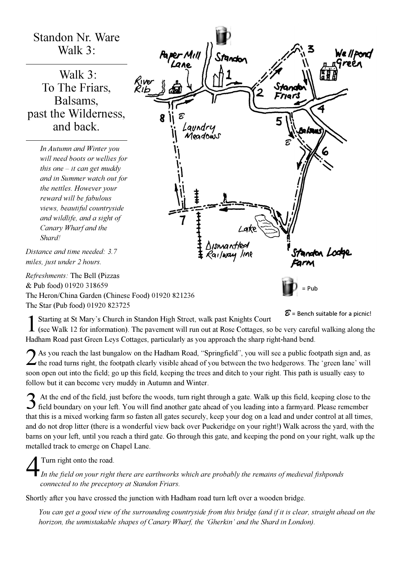## Standon Nr. Ware Walk 3:

 Walk 3: To The Friars, Balsams, past the Wilderness, and back.

> In Autumn and Winter you will need boots or wellies for this one  $-$  it can get muddy and in Summer watch out for the nettles. However your reward will be fabulous views, beautiful countryside and wildlife, and a sight of Canary Wharf and the Shard!

Distance and time needed: 3.7 miles, just under 2 hours.

Refreshments: The Bell (Pizzas & Pub food) 01920 318659 The Heron/China Garden (Chinese Food) 01920 821236 The Star (Pub food) 01920 823725



Starting at St Mary's Church in Standon High Street, walk past Knights Court<br>(see Walk 12 for information). The pavement will run out at Rose Cottages, so be very careful walking along the Starting at St Mary's Church in Standon High Street, walk past Knights Court

 $\mathcal{B}$  = Bench suitable for a picnic!

Hadham Road past Green Leys Cottages, particularly as you approach the sharp right-hand bend.

2 As you reach the last bungalow on the Hadham Road, "Springfield", you will see a public footpath sign and, as  $\angle$  the road turns right, the footpath clearly visible ahead of you between the two hedgerows. The 'green lane' will soon open out into the field; go up this field, keeping the trees and ditch to your right. This path is usually easy to follow but it can become very muddy in Autumn and Winter.

3 At the end of the field, just before the woods, turn right through a gate. Walk up this field, keeping close to the field boundary on your left. You will find another gate ahead of you leading into a farmyard. Please rem At the end of the field, just before the woods, turn right through a gate. Walk up this field, keeping close to the that this is a mixed working farm so fasten all gates securely, keep your dog on a lead and under control at all times, and do not drop litter (there is a wonderful view back over Puckeridge on your right!) Walk across the yard, with the barns on your left, until you reach a third gate. Go through this gate, and keeping the pond on your right, walk up the metalled track to emerge on Chapel Lane.  $\overline{4}$ 

## Turn right onto the road.

In the field on your right there are earthworks which are probably the remains of medieval fishponds connected to the preceptory at Standon Friars.

Shortly after you have crossed the junction with Hadham road turn left over a wooden bridge.

You can get a good view of the surrounding countryside from this bridge (and if it is clear, straight ahead on the horizon, the unmistakable shapes of Canary Wharf, the 'Gherkin' and the Shard in London).